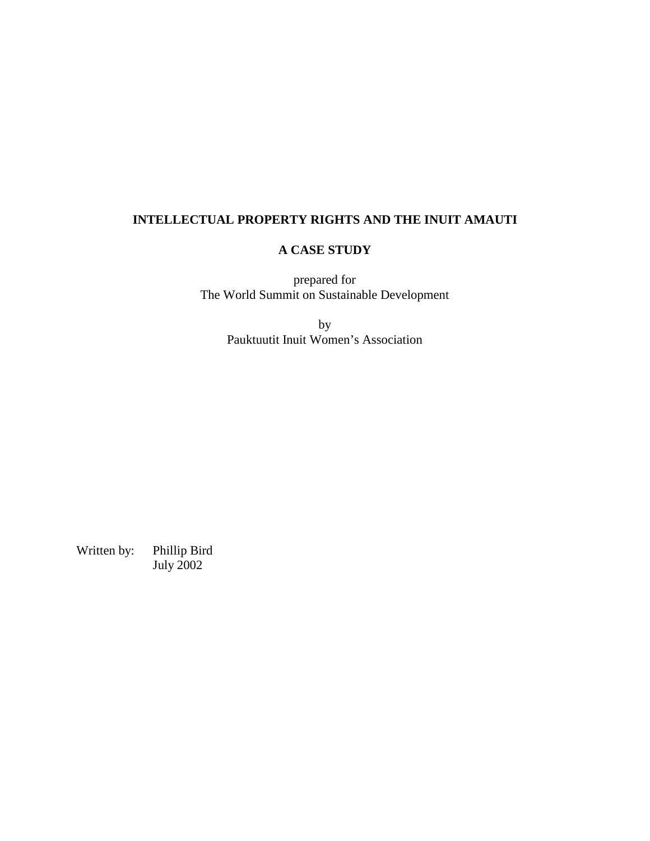# **INTELLECTUAL PROPERTY RIGHTS AND THE INUIT AMAUTI**

# **A CASE STUDY**

prepared for The World Summit on Sustainable Development

> by Pauktuutit Inuit Women's Association

Written by: Phillip Bird July 2002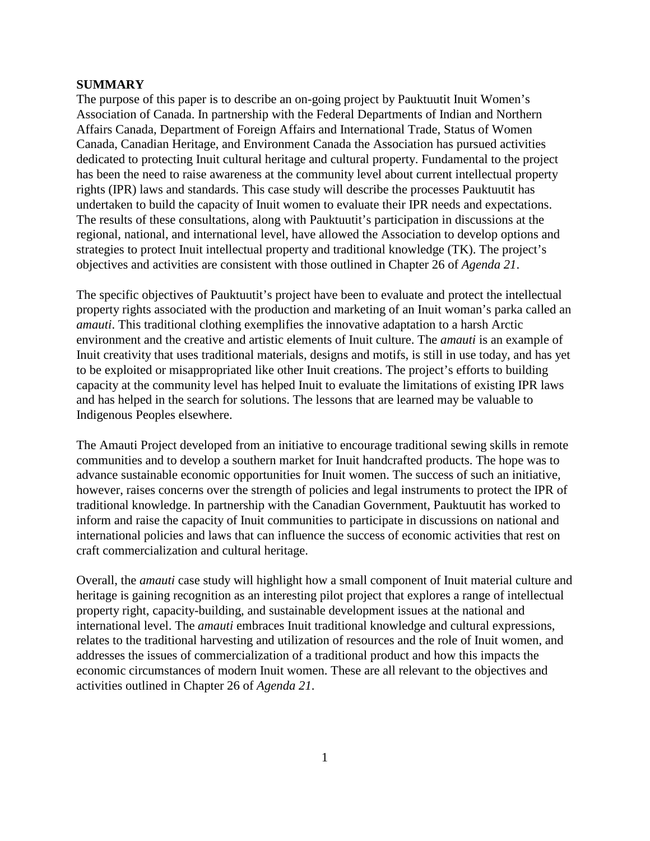### **SUMMARY**

The purpose of this paper is to describe an on-going project by Pauktuutit Inuit Women's Association of Canada. In partnership with the Federal Departments of Indian and Northern Affairs Canada, Department of Foreign Affairs and International Trade, Status of Women Canada, Canadian Heritage, and Environment Canada the Association has pursued activities dedicated to protecting Inuit cultural heritage and cultural property. Fundamental to the project has been the need to raise awareness at the community level about current intellectual property rights (IPR) laws and standards. This case study will describe the processes Pauktuutit has undertaken to build the capacity of Inuit women to evaluate their IPR needs and expectations. The results of these consultations, along with Pauktuutit's participation in discussions at the regional, national, and international level, have allowed the Association to develop options and strategies to protect Inuit intellectual property and traditional knowledge (TK). The project's objectives and activities are consistent with those outlined in Chapter 26 of *Agenda 21*.

The specific objectives of Pauktuutit's project have been to evaluate and protect the intellectual property rights associated with the production and marketing of an Inuit woman's parka called an *amauti*. This traditional clothing exemplifies the innovative adaptation to a harsh Arctic environment and the creative and artistic elements of Inuit culture. The *amauti* is an example of Inuit creativity that uses traditional materials, designs and motifs, is still in use today, and has yet to be exploited or misappropriated like other Inuit creations. The project's efforts to building capacity at the community level has helped Inuit to evaluate the limitations of existing IPR laws and has helped in the search for solutions. The lessons that are learned may be valuable to Indigenous Peoples elsewhere.

The Amauti Project developed from an initiative to encourage traditional sewing skills in remote communities and to develop a southern market for Inuit handcrafted products. The hope was to advance sustainable economic opportunities for Inuit women. The success of such an initiative, however, raises concerns over the strength of policies and legal instruments to protect the IPR of traditional knowledge. In partnership with the Canadian Government, Pauktuutit has worked to inform and raise the capacity of Inuit communities to participate in discussions on national and international policies and laws that can influence the success of economic activities that rest on craft commercialization and cultural heritage.

Overall, the *amauti* case study will highlight how a small component of Inuit material culture and heritage is gaining recognition as an interesting pilot project that explores a range of intellectual property right, capacity-building, and sustainable development issues at the national and international level. The *amauti* embraces Inuit traditional knowledge and cultural expressions, relates to the traditional harvesting and utilization of resources and the role of Inuit women, and addresses the issues of commercialization of a traditional product and how this impacts the economic circumstances of modern Inuit women. These are all relevant to the objectives and activities outlined in Chapter 26 of *Agenda 21*.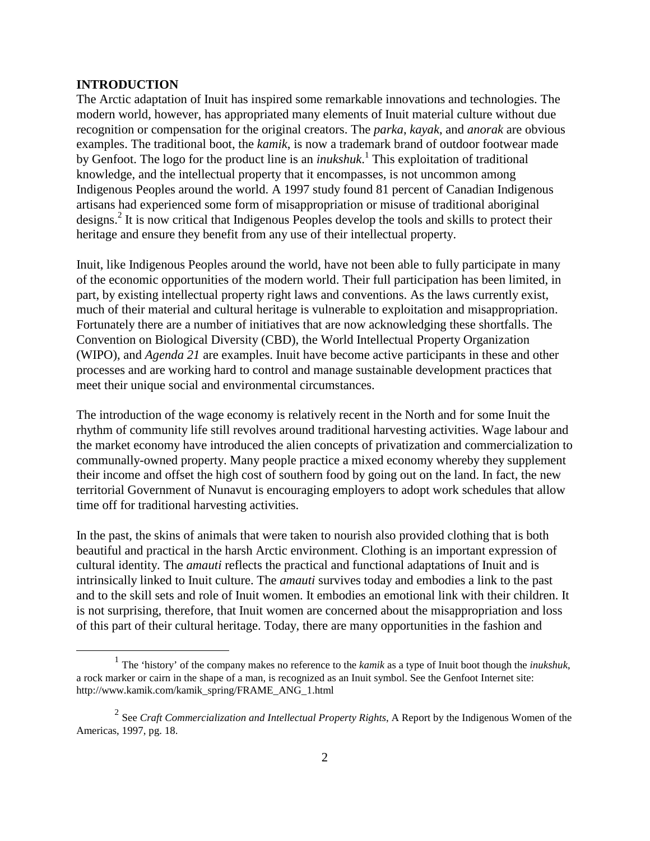### **INTRODUCTION**

The Arctic adaptation of Inuit has inspired some remarkable innovations and technologies. The modern world, however, has appropriated many elements of Inuit material culture without due recognition or compensation for the original creators. The *parka*, *kayak*, and *anorak* are obvious examples. The traditional boot, the *kamik*, is now a trademark brand of outdoor footwear made by Genfoot. The logo for the product line is an *inukshuk*. 1 This exploitation of traditional knowledge, and the intellectual property that it encompasses, is not uncommon among Indigenous Peoples around the world. A 1997 study found 81 percent of Canadian Indigenous artisans had experienced some form of misappropriation or misuse of traditional aboriginal designs.<sup>2</sup> It is now critical that Indigenous Peoples develop the tools and skills to protect their heritage and ensure they benefit from any use of their intellectual property.

Inuit, like Indigenous Peoples around the world, have not been able to fully participate in many of the economic opportunities of the modern world. Their full participation has been limited, in part, by existing intellectual property right laws and conventions. As the laws currently exist, much of their material and cultural heritage is vulnerable to exploitation and misappropriation. Fortunately there are a number of initiatives that are now acknowledging these shortfalls. The Convention on Biological Diversity (CBD), the World Intellectual Property Organization (WIPO), and *Agenda 21* are examples. Inuit have become active participants in these and other processes and are working hard to control and manage sustainable development practices that meet their unique social and environmental circumstances.

The introduction of the wage economy is relatively recent in the North and for some Inuit the rhythm of community life still revolves around traditional harvesting activities. Wage labour and the market economy have introduced the alien concepts of privatization and commercialization to communally-owned property. Many people practice a mixed economy whereby they supplement their income and offset the high cost of southern food by going out on the land. In fact, the new territorial Government of Nunavut is encouraging employers to adopt work schedules that allow time off for traditional harvesting activities.

In the past, the skins of animals that were taken to nourish also provided clothing that is both beautiful and practical in the harsh Arctic environment. Clothing is an important expression of cultural identity. The *amauti* reflects the practical and functional adaptations of Inuit and is intrinsically linked to Inuit culture. The *amauti* survives today and embodies a link to the past and to the skill sets and role of Inuit women. It embodies an emotional link with their children. It is not surprising, therefore, that Inuit women are concerned about the misappropriation and loss of this part of their cultural heritage. Today, there are many opportunities in the fashion and

<sup>1</sup> The 'history' of the company makes no reference to the *kamik* as a type of Inuit boot though the *inukshuk*, a rock marker or cairn in the shape of a man, is recognized as an Inuit symbol. See the Genfoot Internet site: http://www.kamik.com/kamik\_spring/FRAME\_ANG\_1.html

<sup>&</sup>lt;sup>2</sup> See *Craft Commercialization and Intellectual Property Rights*, A Report by the Indigenous Women of the Americas, 1997, pg. 18.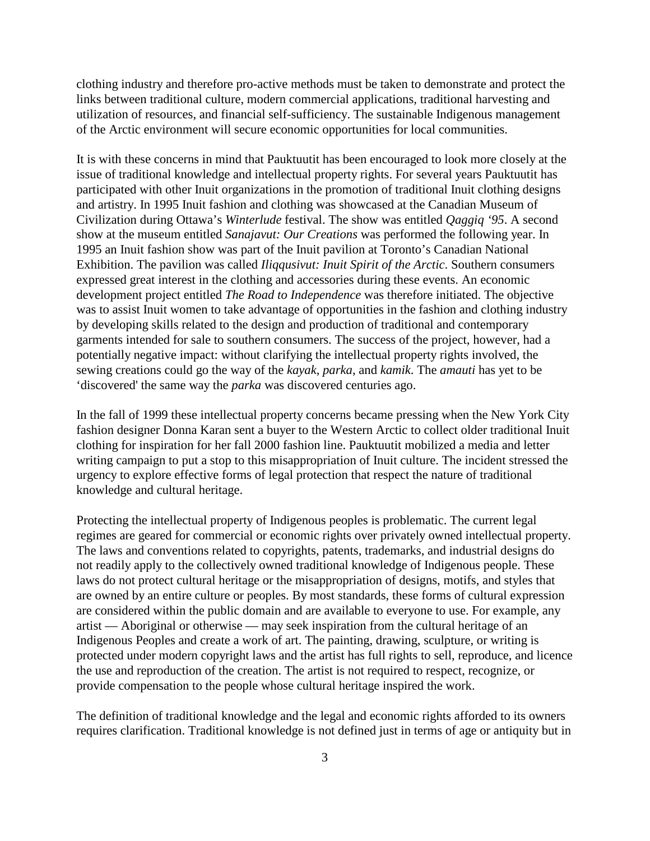clothing industry and therefore pro-active methods must be taken to demonstrate and protect the links between traditional culture, modern commercial applications, traditional harvesting and utilization of resources, and financial self-sufficiency. The sustainable Indigenous management of the Arctic environment will secure economic opportunities for local communities.

It is with these concerns in mind that Pauktuutit has been encouraged to look more closely at the issue of traditional knowledge and intellectual property rights. For several years Pauktuutit has participated with other Inuit organizations in the promotion of traditional Inuit clothing designs and artistry. In 1995 Inuit fashion and clothing was showcased at the Canadian Museum of Civilization during Ottawa's *Winterlude* festival. The show was entitled *Qaggiq '95*. A second show at the museum entitled *Sanajavut: Our Creations* was performed the following year. In 1995 an Inuit fashion show was part of the Inuit pavilion at Toronto's Canadian National Exhibition. The pavilion was called *Iliqqusivut: Inuit Spirit of the Arctic*. Southern consumers expressed great interest in the clothing and accessories during these events. An economic development project entitled *The Road to Independence* was therefore initiated. The objective was to assist Inuit women to take advantage of opportunities in the fashion and clothing industry by developing skills related to the design and production of traditional and contemporary garments intended for sale to southern consumers. The success of the project, however, had a potentially negative impact: without clarifying the intellectual property rights involved, the sewing creations could go the way of the *kayak*, *parka*, and *kamik*. The *amauti* has yet to be 'discovered' the same way the *parka* was discovered centuries ago.

In the fall of 1999 these intellectual property concerns became pressing when the New York City fashion designer Donna Karan sent a buyer to the Western Arctic to collect older traditional Inuit clothing for inspiration for her fall 2000 fashion line. Pauktuutit mobilized a media and letter writing campaign to put a stop to this misappropriation of Inuit culture. The incident stressed the urgency to explore effective forms of legal protection that respect the nature of traditional knowledge and cultural heritage.

Protecting the intellectual property of Indigenous peoples is problematic. The current legal regimes are geared for commercial or economic rights over privately owned intellectual property. The laws and conventions related to copyrights, patents, trademarks, and industrial designs do not readily apply to the collectively owned traditional knowledge of Indigenous people. These laws do not protect cultural heritage or the misappropriation of designs, motifs, and styles that are owned by an entire culture or peoples. By most standards, these forms of cultural expression are considered within the public domain and are available to everyone to use. For example, any artist — Aboriginal or otherwise — may seek inspiration from the cultural heritage of an Indigenous Peoples and create a work of art. The painting, drawing, sculpture, or writing is protected under modern copyright laws and the artist has full rights to sell, reproduce, and licence the use and reproduction of the creation. The artist is not required to respect, recognize, or provide compensation to the people whose cultural heritage inspired the work.

The definition of traditional knowledge and the legal and economic rights afforded to its owners requires clarification. Traditional knowledge is not defined just in terms of age or antiquity but in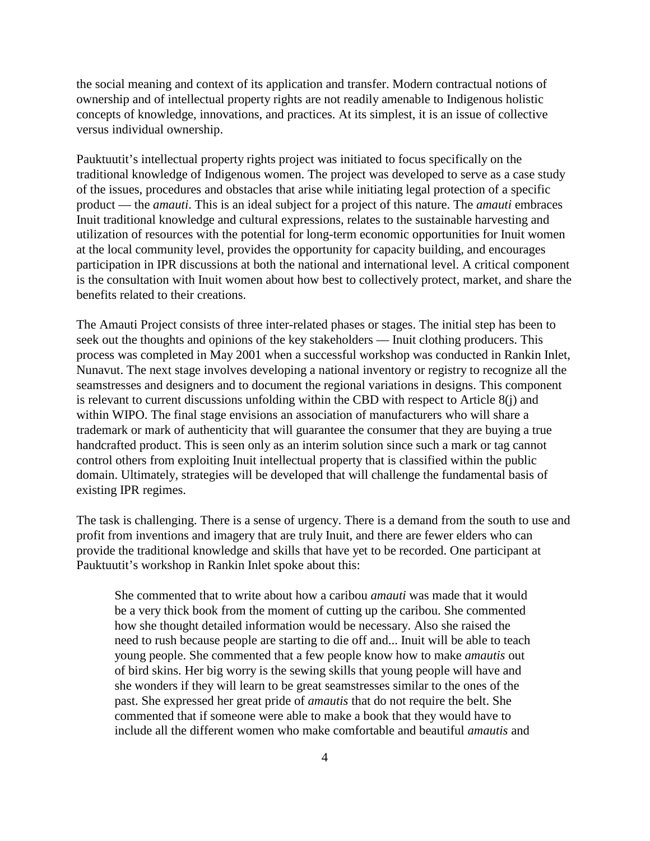the social meaning and context of its application and transfer. Modern contractual notions of ownership and of intellectual property rights are not readily amenable to Indigenous holistic concepts of knowledge, innovations, and practices. At its simplest, it is an issue of collective versus individual ownership.

Pauktuutit's intellectual property rights project was initiated to focus specifically on the traditional knowledge of Indigenous women. The project was developed to serve as a case study of the issues, procedures and obstacles that arise while initiating legal protection of a specific product — the *amauti*. This is an ideal subject for a project of this nature. The *amauti* embraces Inuit traditional knowledge and cultural expressions, relates to the sustainable harvesting and utilization of resources with the potential for long-term economic opportunities for Inuit women at the local community level, provides the opportunity for capacity building, and encourages participation in IPR discussions at both the national and international level. A critical component is the consultation with Inuit women about how best to collectively protect, market, and share the benefits related to their creations.

The Amauti Project consists of three inter-related phases or stages. The initial step has been to seek out the thoughts and opinions of the key stakeholders — Inuit clothing producers. This process was completed in May 2001 when a successful workshop was conducted in Rankin Inlet, Nunavut. The next stage involves developing a national inventory or registry to recognize all the seamstresses and designers and to document the regional variations in designs. This component is relevant to current discussions unfolding within the CBD with respect to Article 8(j) and within WIPO. The final stage envisions an association of manufacturers who will share a trademark or mark of authenticity that will guarantee the consumer that they are buying a true handcrafted product. This is seen only as an interim solution since such a mark or tag cannot control others from exploiting Inuit intellectual property that is classified within the public domain. Ultimately, strategies will be developed that will challenge the fundamental basis of existing IPR regimes.

The task is challenging. There is a sense of urgency. There is a demand from the south to use and profit from inventions and imagery that are truly Inuit, and there are fewer elders who can provide the traditional knowledge and skills that have yet to be recorded. One participant at Pauktuutit's workshop in Rankin Inlet spoke about this:

She commented that to write about how a caribou *amauti* was made that it would be a very thick book from the moment of cutting up the caribou. She commented how she thought detailed information would be necessary. Also she raised the need to rush because people are starting to die off and... Inuit will be able to teach young people. She commented that a few people know how to make *amautis* out of bird skins. Her big worry is the sewing skills that young people will have and she wonders if they will learn to be great seamstresses similar to the ones of the past. She expressed her great pride of *amautis* that do not require the belt. She commented that if someone were able to make a book that they would have to include all the different women who make comfortable and beautiful *amautis* and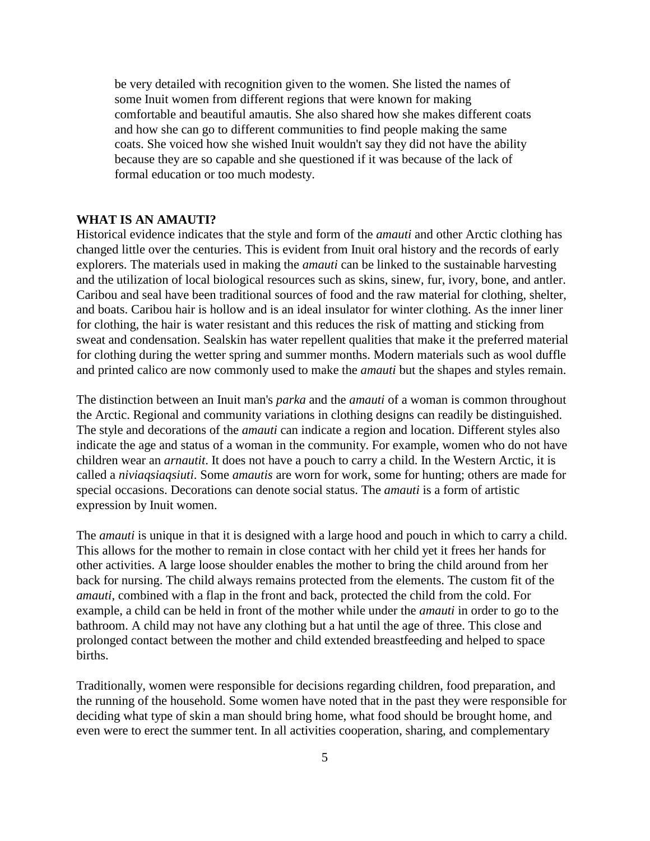be very detailed with recognition given to the women. She listed the names of some Inuit women from different regions that were known for making comfortable and beautiful amautis. She also shared how she makes different coats and how she can go to different communities to find people making the same coats. She voiced how she wished Inuit wouldn't say they did not have the ability because they are so capable and she questioned if it was because of the lack of formal education or too much modesty.

### **WHAT IS AN AMAUTI?**

Historical evidence indicates that the style and form of the *amauti* and other Arctic clothing has changed little over the centuries. This is evident from Inuit oral history and the records of early explorers. The materials used in making the *amauti* can be linked to the sustainable harvesting and the utilization of local biological resources such as skins, sinew, fur, ivory, bone, and antler. Caribou and seal have been traditional sources of food and the raw material for clothing, shelter, and boats. Caribou hair is hollow and is an ideal insulator for winter clothing. As the inner liner for clothing, the hair is water resistant and this reduces the risk of matting and sticking from sweat and condensation. Sealskin has water repellent qualities that make it the preferred material for clothing during the wetter spring and summer months. Modern materials such as wool duffle and printed calico are now commonly used to make the *amauti* but the shapes and styles remain.

The distinction between an Inuit man's *parka* and the *amauti* of a woman is common throughout the Arctic. Regional and community variations in clothing designs can readily be distinguished. The style and decorations of the *amauti* can indicate a region and location. Different styles also indicate the age and status of a woman in the community. For example, women who do not have children wear an *arnautit*. It does not have a pouch to carry a child. In the Western Arctic, it is called a *niviaqsiaqsiuti*. Some *amautis* are worn for work, some for hunting; others are made for special occasions. Decorations can denote social status. The *amauti* is a form of artistic expression by Inuit women.

The *amauti* is unique in that it is designed with a large hood and pouch in which to carry a child. This allows for the mother to remain in close contact with her child yet it frees her hands for other activities. A large loose shoulder enables the mother to bring the child around from her back for nursing. The child always remains protected from the elements. The custom fit of the *amauti*, combined with a flap in the front and back, protected the child from the cold. For example, a child can be held in front of the mother while under the *amauti* in order to go to the bathroom. A child may not have any clothing but a hat until the age of three. This close and prolonged contact between the mother and child extended breastfeeding and helped to space births.

Traditionally, women were responsible for decisions regarding children, food preparation, and the running of the household. Some women have noted that in the past they were responsible for deciding what type of skin a man should bring home, what food should be brought home, and even were to erect the summer tent. In all activities cooperation, sharing, and complementary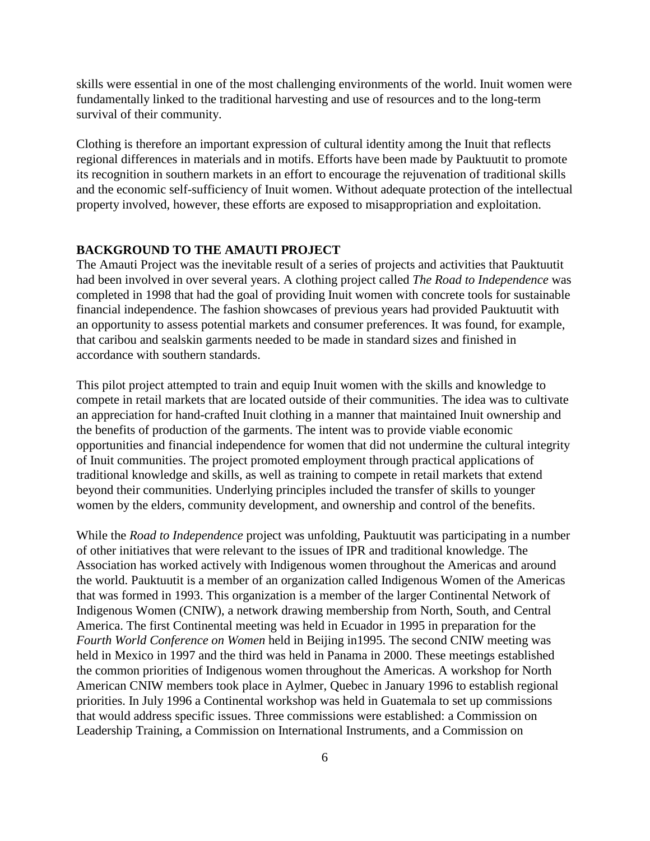skills were essential in one of the most challenging environments of the world. Inuit women were fundamentally linked to the traditional harvesting and use of resources and to the long-term survival of their community.

Clothing is therefore an important expression of cultural identity among the Inuit that reflects regional differences in materials and in motifs. Efforts have been made by Pauktuutit to promote its recognition in southern markets in an effort to encourage the rejuvenation of traditional skills and the economic self-sufficiency of Inuit women. Without adequate protection of the intellectual property involved, however, these efforts are exposed to misappropriation and exploitation.

### **BACKGROUND TO THE AMAUTI PROJECT**

The Amauti Project was the inevitable result of a series of projects and activities that Pauktuutit had been involved in over several years. A clothing project called *The Road to Independence* was completed in 1998 that had the goal of providing Inuit women with concrete tools for sustainable financial independence. The fashion showcases of previous years had provided Pauktuutit with an opportunity to assess potential markets and consumer preferences. It was found, for example, that caribou and sealskin garments needed to be made in standard sizes and finished in accordance with southern standards.

This pilot project attempted to train and equip Inuit women with the skills and knowledge to compete in retail markets that are located outside of their communities. The idea was to cultivate an appreciation for hand-crafted Inuit clothing in a manner that maintained Inuit ownership and the benefits of production of the garments. The intent was to provide viable economic opportunities and financial independence for women that did not undermine the cultural integrity of Inuit communities. The project promoted employment through practical applications of traditional knowledge and skills, as well as training to compete in retail markets that extend beyond their communities. Underlying principles included the transfer of skills to younger women by the elders, community development, and ownership and control of the benefits.

While the *Road to Independence* project was unfolding, Pauktuutit was participating in a number of other initiatives that were relevant to the issues of IPR and traditional knowledge. The Association has worked actively with Indigenous women throughout the Americas and around the world. Pauktuutit is a member of an organization called Indigenous Women of the Americas that was formed in 1993. This organization is a member of the larger Continental Network of Indigenous Women (CNIW), a network drawing membership from North, South, and Central America. The first Continental meeting was held in Ecuador in 1995 in preparation for the *Fourth World Conference on Women* held in Beijing in1995. The second CNIW meeting was held in Mexico in 1997 and the third was held in Panama in 2000. These meetings established the common priorities of Indigenous women throughout the Americas. A workshop for North American CNIW members took place in Aylmer, Quebec in January 1996 to establish regional priorities. In July 1996 a Continental workshop was held in Guatemala to set up commissions that would address specific issues. Three commissions were established: a Commission on Leadership Training, a Commission on International Instruments, and a Commission on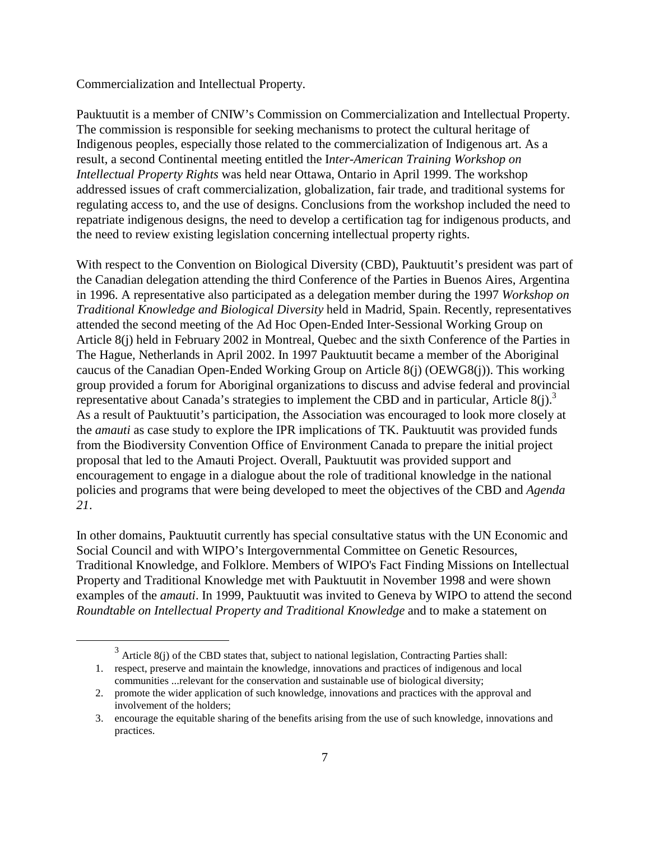Commercialization and Intellectual Property.

Pauktuutit is a member of CNIW's Commission on Commercialization and Intellectual Property. The commission is responsible for seeking mechanisms to protect the cultural heritage of Indigenous peoples, especially those related to the commercialization of Indigenous art. As a result, a second Continental meeting entitled the I*nter-American Training Workshop on Intellectual Property Rights* was held near Ottawa, Ontario in April 1999. The workshop addressed issues of craft commercialization, globalization, fair trade, and traditional systems for regulating access to, and the use of designs. Conclusions from the workshop included the need to repatriate indigenous designs, the need to develop a certification tag for indigenous products, and the need to review existing legislation concerning intellectual property rights.

With respect to the Convention on Biological Diversity (CBD), Pauktuutit's president was part of the Canadian delegation attending the third Conference of the Parties in Buenos Aires, Argentina in 1996. A representative also participated as a delegation member during the 1997 *Workshop on Traditional Knowledge and Biological Diversity* held in Madrid, Spain. Recently, representatives attended the second meeting of the Ad Hoc Open-Ended Inter-Sessional Working Group on Article 8(j) held in February 2002 in Montreal, Quebec and the sixth Conference of the Parties in The Hague, Netherlands in April 2002. In 1997 Pauktuutit became a member of the Aboriginal caucus of the Canadian Open-Ended Working Group on Article 8(j) (OEWG8(j)). This working group provided a forum for Aboriginal organizations to discuss and advise federal and provincial representative about Canada's strategies to implement the CBD and in particular, Article  $8(i)$ .<sup>3</sup> As a result of Pauktuutit's participation, the Association was encouraged to look more closely at the *amauti* as case study to explore the IPR implications of TK. Pauktuutit was provided funds from the Biodiversity Convention Office of Environment Canada to prepare the initial project proposal that led to the Amauti Project. Overall, Pauktuutit was provided support and encouragement to engage in a dialogue about the role of traditional knowledge in the national policies and programs that were being developed to meet the objectives of the CBD and *Agenda 21*.

In other domains, Pauktuutit currently has special consultative status with the UN Economic and Social Council and with WIPO's Intergovernmental Committee on Genetic Resources, Traditional Knowledge, and Folklore. Members of WIPO's Fact Finding Missions on Intellectual Property and Traditional Knowledge met with Pauktuutit in November 1998 and were shown examples of the *amauti*. In 1999, Pauktuutit was invited to Geneva by WIPO to attend the second *Roundtable on Intellectual Property and Traditional Knowledge* and to make a statement on

 $3$  Article 8(j) of the CBD states that, subject to national legislation, Contracting Parties shall:

<sup>1.</sup> respect, preserve and maintain the knowledge, innovations and practices of indigenous and local communities ...relevant for the conservation and sustainable use of biological diversity;

<sup>2.</sup> promote the wider application of such knowledge, innovations and practices with the approval and involvement of the holders;

<sup>3.</sup> encourage the equitable sharing of the benefits arising from the use of such knowledge, innovations and practices.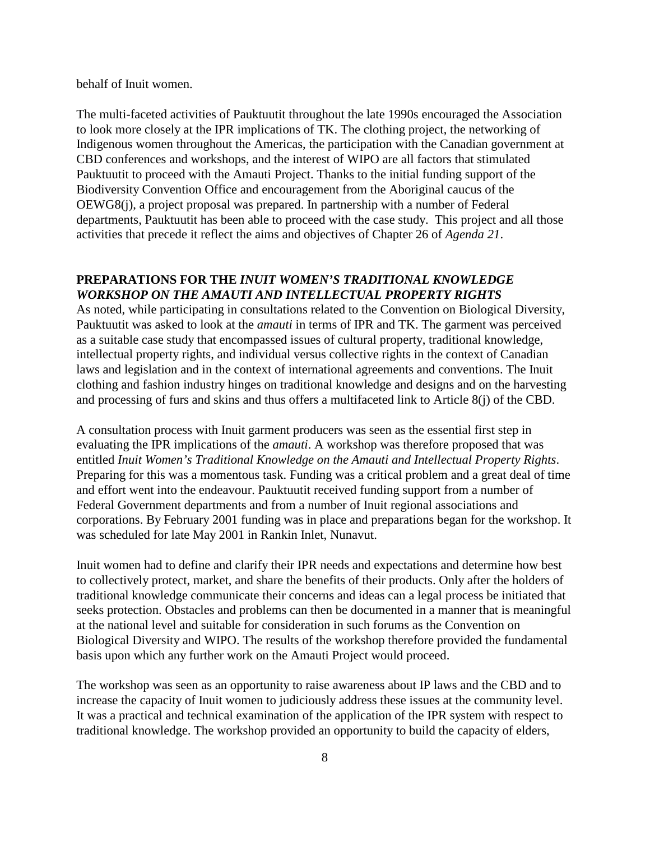behalf of Inuit women.

The multi-faceted activities of Pauktuutit throughout the late 1990s encouraged the Association to look more closely at the IPR implications of TK. The clothing project, the networking of Indigenous women throughout the Americas, the participation with the Canadian government at CBD conferences and workshops, and the interest of WIPO are all factors that stimulated Pauktuutit to proceed with the Amauti Project. Thanks to the initial funding support of the Biodiversity Convention Office and encouragement from the Aboriginal caucus of the OEWG8(j), a project proposal was prepared. In partnership with a number of Federal departments, Pauktuutit has been able to proceed with the case study. This project and all those activities that precede it reflect the aims and objectives of Chapter 26 of *Agenda 21*.

# **PREPARATIONS FOR THE** *INUIT WOMEN'S TRADITIONAL KNOWLEDGE WORKSHOP ON THE AMAUTI AND INTELLECTUAL PROPERTY RIGHTS*

As noted, while participating in consultations related to the Convention on Biological Diversity, Pauktuutit was asked to look at the *amauti* in terms of IPR and TK. The garment was perceived as a suitable case study that encompassed issues of cultural property, traditional knowledge, intellectual property rights, and individual versus collective rights in the context of Canadian laws and legislation and in the context of international agreements and conventions. The Inuit clothing and fashion industry hinges on traditional knowledge and designs and on the harvesting and processing of furs and skins and thus offers a multifaceted link to Article 8(j) of the CBD.

A consultation process with Inuit garment producers was seen as the essential first step in evaluating the IPR implications of the *amauti*. A workshop was therefore proposed that was entitled *Inuit Women's Traditional Knowledge on the Amauti and Intellectual Property Rights*. Preparing for this was a momentous task. Funding was a critical problem and a great deal of time and effort went into the endeavour. Pauktuutit received funding support from a number of Federal Government departments and from a number of Inuit regional associations and corporations. By February 2001 funding was in place and preparations began for the workshop. It was scheduled for late May 2001 in Rankin Inlet, Nunavut.

Inuit women had to define and clarify their IPR needs and expectations and determine how best to collectively protect, market, and share the benefits of their products. Only after the holders of traditional knowledge communicate their concerns and ideas can a legal process be initiated that seeks protection. Obstacles and problems can then be documented in a manner that is meaningful at the national level and suitable for consideration in such forums as the Convention on Biological Diversity and WIPO. The results of the workshop therefore provided the fundamental basis upon which any further work on the Amauti Project would proceed.

The workshop was seen as an opportunity to raise awareness about IP laws and the CBD and to increase the capacity of Inuit women to judiciously address these issues at the community level. It was a practical and technical examination of the application of the IPR system with respect to traditional knowledge. The workshop provided an opportunity to build the capacity of elders,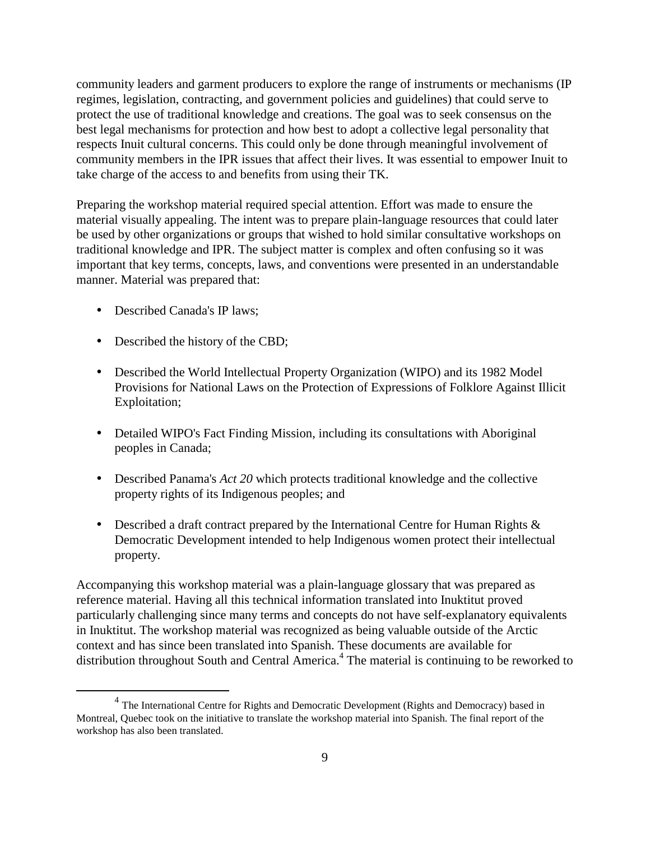community leaders and garment producers to explore the range of instruments or mechanisms (IP regimes, legislation, contracting, and government policies and guidelines) that could serve to protect the use of traditional knowledge and creations. The goal was to seek consensus on the best legal mechanisms for protection and how best to adopt a collective legal personality that respects Inuit cultural concerns. This could only be done through meaningful involvement of community members in the IPR issues that affect their lives. It was essential to empower Inuit to take charge of the access to and benefits from using their TK.

Preparing the workshop material required special attention. Effort was made to ensure the material visually appealing. The intent was to prepare plain-language resources that could later be used by other organizations or groups that wished to hold similar consultative workshops on traditional knowledge and IPR. The subject matter is complex and often confusing so it was important that key terms, concepts, laws, and conventions were presented in an understandable manner. Material was prepared that:

- Described Canada's IP laws;
- Described the history of the CBD;
- Described the World Intellectual Property Organization (WIPO) and its 1982 Model Provisions for National Laws on the Protection of Expressions of Folklore Against Illicit Exploitation;
- Detailed WIPO's Fact Finding Mission, including its consultations with Aboriginal peoples in Canada;
- Described Panama's *Act 20* which protects traditional knowledge and the collective property rights of its Indigenous peoples; and
- Described a draft contract prepared by the International Centre for Human Rights & Democratic Development intended to help Indigenous women protect their intellectual property.

Accompanying this workshop material was a plain-language glossary that was prepared as reference material. Having all this technical information translated into Inuktitut proved particularly challenging since many terms and concepts do not have self-explanatory equivalents in Inuktitut. The workshop material was recognized as being valuable outside of the Arctic context and has since been translated into Spanish. These documents are available for distribution throughout South and Central America.<sup>4</sup> The material is continuing to be reworked to

<sup>&</sup>lt;sup>4</sup> The International Centre for Rights and Democratic Development (Rights and Democracy) based in Montreal, Quebec took on the initiative to translate the workshop material into Spanish. The final report of the workshop has also been translated.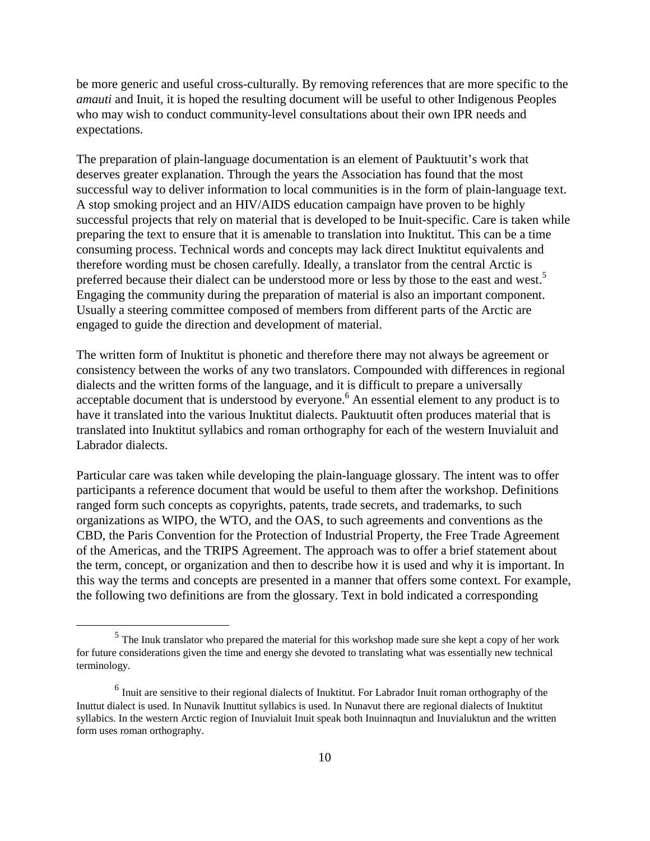be more generic and useful cross-culturally. By removing references that are more specific to the *amauti* and Inuit, it is hoped the resulting document will be useful to other Indigenous Peoples who may wish to conduct community-level consultations about their own IPR needs and expectations.

The preparation of plain-language documentation is an element of Pauktuutit's work that deserves greater explanation. Through the years the Association has found that the most successful way to deliver information to local communities is in the form of plain-language text. A stop smoking project and an HIV/AIDS education campaign have proven to be highly successful projects that rely on material that is developed to be Inuit-specific. Care is taken while preparing the text to ensure that it is amenable to translation into Inuktitut. This can be a time consuming process. Technical words and concepts may lack direct Inuktitut equivalents and therefore wording must be chosen carefully. Ideally, a translator from the central Arctic is preferred because their dialect can be understood more or less by those to the east and west.<sup>5</sup> Engaging the community during the preparation of material is also an important component. Usually a steering committee composed of members from different parts of the Arctic are engaged to guide the direction and development of material.

The written form of Inuktitut is phonetic and therefore there may not always be agreement or consistency between the works of any two translators. Compounded with differences in regional dialects and the written forms of the language, and it is difficult to prepare a universally acceptable document that is understood by everyone.<sup>6</sup> An essential element to any product is to have it translated into the various Inuktitut dialects. Pauktuutit often produces material that is translated into Inuktitut syllabics and roman orthography for each of the western Inuvialuit and Labrador dialects.

Particular care was taken while developing the plain-language glossary. The intent was to offer participants a reference document that would be useful to them after the workshop. Definitions ranged form such concepts as copyrights, patents, trade secrets, and trademarks, to such organizations as WIPO, the WTO, and the OAS, to such agreements and conventions as the CBD, the Paris Convention for the Protection of Industrial Property, the Free Trade Agreement of the Americas, and the TRIPS Agreement. The approach was to offer a brief statement about the term, concept, or organization and then to describe how it is used and why it is important. In this way the terms and concepts are presented in a manner that offers some context. For example, the following two definitions are from the glossary. Text in bold indicated a corresponding

<sup>&</sup>lt;sup>5</sup> The Inuk translator who prepared the material for this workshop made sure she kept a copy of her work for future considerations given the time and energy she devoted to translating what was essentially new technical terminology.

<sup>&</sup>lt;sup>6</sup> Inuit are sensitive to their regional dialects of Inuktitut. For Labrador Inuit roman orthography of the Inuttut dialect is used. In Nunavik Inuttitut syllabics is used. In Nunavut there are regional dialects of Inuktitut syllabics. In the western Arctic region of Inuvialuit Inuit speak both Inuinnaqtun and Inuvialuktun and the written form uses roman orthography.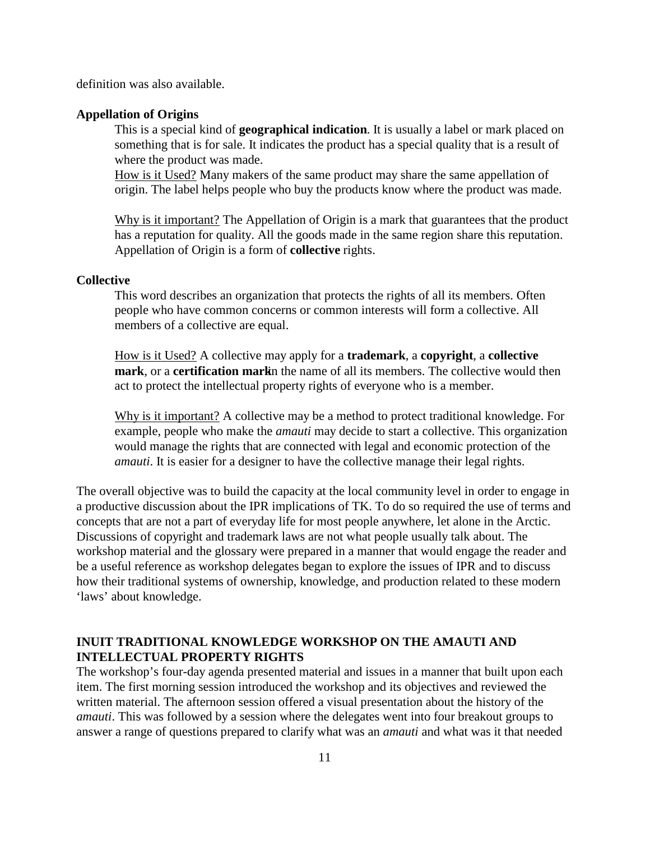definition was also available.

### **Appellation of Origins**

This is a special kind of **geographical indication**. It is usually a label or mark placed on something that is for sale. It indicates the product has a special quality that is a result of where the product was made.

How is it Used? Many makers of the same product may share the same appellation of origin. The label helps people who buy the products know where the product was made.

Why is it important? The Appellation of Origin is a mark that guarantees that the product has a reputation for quality. All the goods made in the same region share this reputation. Appellation of Origin is a form of **collective** rights.

## **Collective**

This word describes an organization that protects the rights of all its members. Often people who have common concerns or common interests will form a collective. All members of a collective are equal.

How is it Used? A collective may apply for a **trademark**, a **copyright**, a **collective**  mark, or a certification markin the name of all its members. The collective would then act to protect the intellectual property rights of everyone who is a member.

Why is it important? A collective may be a method to protect traditional knowledge. For example, people who make the *amauti* may decide to start a collective. This organization would manage the rights that are connected with legal and economic protection of the *amauti*. It is easier for a designer to have the collective manage their legal rights.

The overall objective was to build the capacity at the local community level in order to engage in a productive discussion about the IPR implications of TK. To do so required the use of terms and concepts that are not a part of everyday life for most people anywhere, let alone in the Arctic. Discussions of copyright and trademark laws are not what people usually talk about. The workshop material and the glossary were prepared in a manner that would engage the reader and be a useful reference as workshop delegates began to explore the issues of IPR and to discuss how their traditional systems of ownership, knowledge, and production related to these modern 'laws' about knowledge.

## **INUIT TRADITIONAL KNOWLEDGE WORKSHOP ON THE AMAUTI AND INTELLECTUAL PROPERTY RIGHTS**

The workshop's four-day agenda presented material and issues in a manner that built upon each item. The first morning session introduced the workshop and its objectives and reviewed the written material. The afternoon session offered a visual presentation about the history of the *amauti*. This was followed by a session where the delegates went into four breakout groups to answer a range of questions prepared to clarify what was an *amauti* and what was it that needed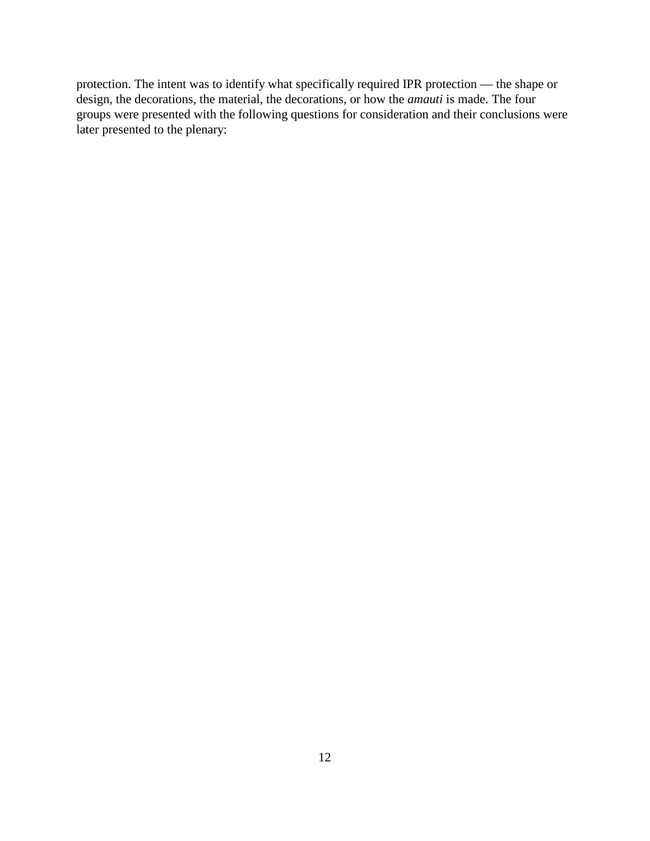protection. The intent was to identify what specifically required IPR protection — the shape or design, the decorations, the material, the decorations, or how the *amauti* is made. The four groups were presented with the following questions for consideration and their conclusions were later presented to the plenary: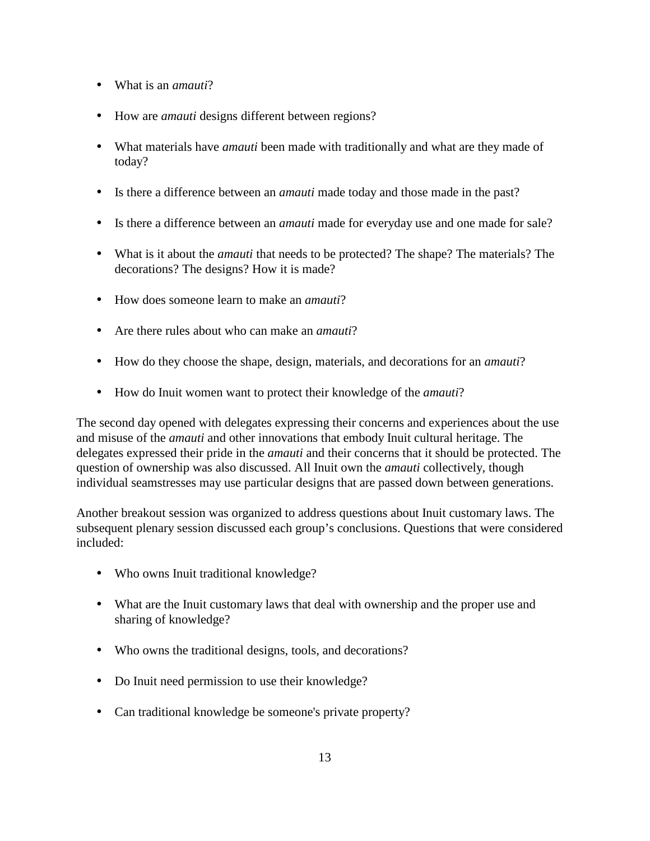- What is an *amauti*?
- How are *amauti* designs different between regions?
- What materials have *amauti* been made with traditionally and what are they made of today?
- Is there a difference between an *amauti* made today and those made in the past?
- Is there a difference between an *amauti* made for everyday use and one made for sale?
- What is it about the *amauti* that needs to be protected? The shape? The materials? The decorations? The designs? How it is made?
- How does someone learn to make an *amauti*?
- Are there rules about who can make an *amauti*?
- How do they choose the shape, design, materials, and decorations for an *amauti*?
- How do Inuit women want to protect their knowledge of the *amauti*?

The second day opened with delegates expressing their concerns and experiences about the use and misuse of the *amauti* and other innovations that embody Inuit cultural heritage. The delegates expressed their pride in the *amauti* and their concerns that it should be protected. The question of ownership was also discussed. All Inuit own the *amauti* collectively, though individual seamstresses may use particular designs that are passed down between generations.

Another breakout session was organized to address questions about Inuit customary laws. The subsequent plenary session discussed each group's conclusions. Questions that were considered included:

- Who owns Inuit traditional knowledge?
- What are the Inuit customary laws that deal with ownership and the proper use and sharing of knowledge?
- Who owns the traditional designs, tools, and decorations?
- Do Inuit need permission to use their knowledge?
- Can traditional knowledge be someone's private property?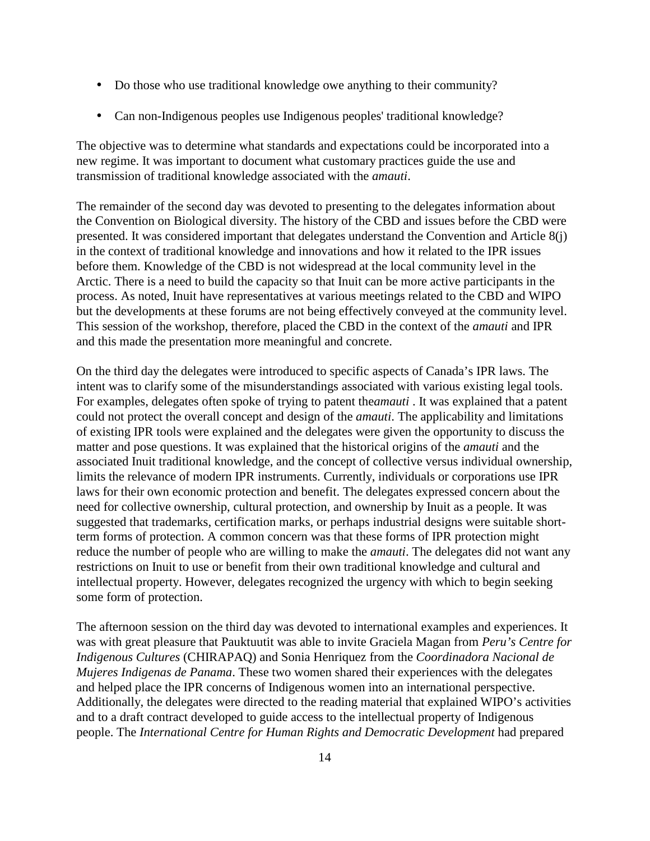- Do those who use traditional knowledge owe anything to their community?
- Can non-Indigenous peoples use Indigenous peoples' traditional knowledge?

The objective was to determine what standards and expectations could be incorporated into a new regime. It was important to document what customary practices guide the use and transmission of traditional knowledge associated with the *amauti*.

The remainder of the second day was devoted to presenting to the delegates information about the Convention on Biological diversity. The history of the CBD and issues before the CBD were presented. It was considered important that delegates understand the Convention and Article 8(j) in the context of traditional knowledge and innovations and how it related to the IPR issues before them. Knowledge of the CBD is not widespread at the local community level in the Arctic. There is a need to build the capacity so that Inuit can be more active participants in the process. As noted, Inuit have representatives at various meetings related to the CBD and WIPO but the developments at these forums are not being effectively conveyed at the community level. This session of the workshop, therefore, placed the CBD in the context of the *amauti* and IPR and this made the presentation more meaningful and concrete.

On the third day the delegates were introduced to specific aspects of Canada's IPR laws. The intent was to clarify some of the misunderstandings associated with various existing legal tools. For examples, delegates often spoke of trying to patent the *amauti*. It was explained that a patent could not protect the overall concept and design of the *amauti*. The applicability and limitations of existing IPR tools were explained and the delegates were given the opportunity to discuss the matter and pose questions. It was explained that the historical origins of the *amauti* and the associated Inuit traditional knowledge, and the concept of collective versus individual ownership, limits the relevance of modern IPR instruments. Currently, individuals or corporations use IPR laws for their own economic protection and benefit. The delegates expressed concern about the need for collective ownership, cultural protection, and ownership by Inuit as a people. It was suggested that trademarks, certification marks, or perhaps industrial designs were suitable shortterm forms of protection. A common concern was that these forms of IPR protection might reduce the number of people who are willing to make the *amauti*. The delegates did not want any restrictions on Inuit to use or benefit from their own traditional knowledge and cultural and intellectual property. However, delegates recognized the urgency with which to begin seeking some form of protection.

The afternoon session on the third day was devoted to international examples and experiences. It was with great pleasure that Pauktuutit was able to invite Graciela Magan from *Peru's Centre for Indigenous Cultures* (CHIRAPAQ) and Sonia Henriquez from the *Coordinadora Nacional de Mujeres Indigenas de Panama*. These two women shared their experiences with the delegates and helped place the IPR concerns of Indigenous women into an international perspective. Additionally, the delegates were directed to the reading material that explained WIPO's activities and to a draft contract developed to guide access to the intellectual property of Indigenous people. The *International Centre for Human Rights and Democratic Development* had prepared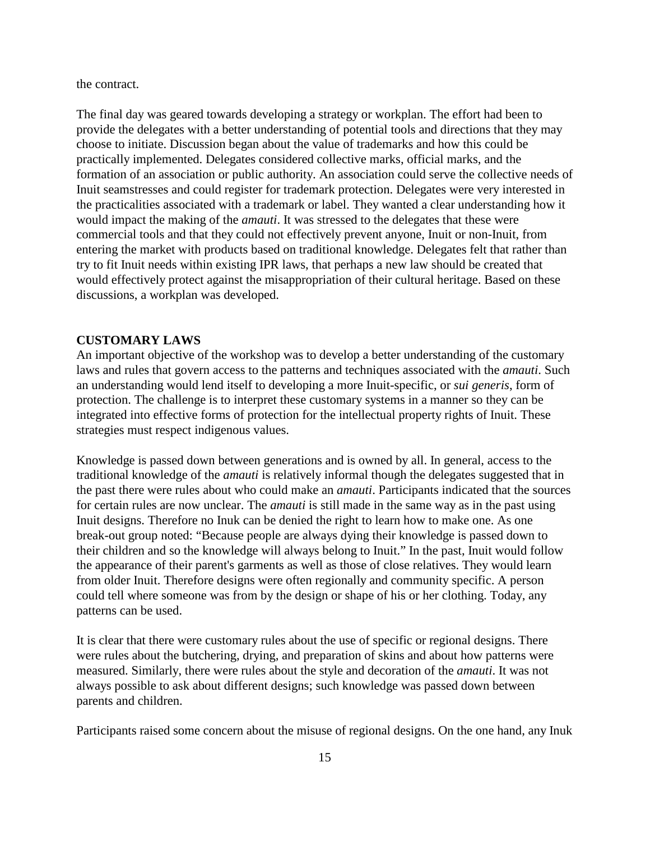the contract.

The final day was geared towards developing a strategy or workplan. The effort had been to provide the delegates with a better understanding of potential tools and directions that they may choose to initiate. Discussion began about the value of trademarks and how this could be practically implemented. Delegates considered collective marks, official marks, and the formation of an association or public authority. An association could serve the collective needs of Inuit seamstresses and could register for trademark protection. Delegates were very interested in the practicalities associated with a trademark or label. They wanted a clear understanding how it would impact the making of the *amauti*. It was stressed to the delegates that these were commercial tools and that they could not effectively prevent anyone, Inuit or non-Inuit, from entering the market with products based on traditional knowledge. Delegates felt that rather than try to fit Inuit needs within existing IPR laws, that perhaps a new law should be created that would effectively protect against the misappropriation of their cultural heritage. Based on these discussions, a workplan was developed.

### **CUSTOMARY LAWS**

An important objective of the workshop was to develop a better understanding of the customary laws and rules that govern access to the patterns and techniques associated with the *amauti*. Such an understanding would lend itself to developing a more Inuit-specific, or *sui generis*, form of protection. The challenge is to interpret these customary systems in a manner so they can be integrated into effective forms of protection for the intellectual property rights of Inuit. These strategies must respect indigenous values.

Knowledge is passed down between generations and is owned by all. In general, access to the traditional knowledge of the *amauti* is relatively informal though the delegates suggested that in the past there were rules about who could make an *amauti*. Participants indicated that the sources for certain rules are now unclear. The *amauti* is still made in the same way as in the past using Inuit designs. Therefore no Inuk can be denied the right to learn how to make one. As one break-out group noted: "Because people are always dying their knowledge is passed down to their children and so the knowledge will always belong to Inuit." In the past, Inuit would follow the appearance of their parent's garments as well as those of close relatives. They would learn from older Inuit. Therefore designs were often regionally and community specific. A person could tell where someone was from by the design or shape of his or her clothing. Today, any patterns can be used.

It is clear that there were customary rules about the use of specific or regional designs. There were rules about the butchering, drying, and preparation of skins and about how patterns were measured. Similarly, there were rules about the style and decoration of the *amauti*. It was not always possible to ask about different designs; such knowledge was passed down between parents and children.

Participants raised some concern about the misuse of regional designs. On the one hand, any Inuk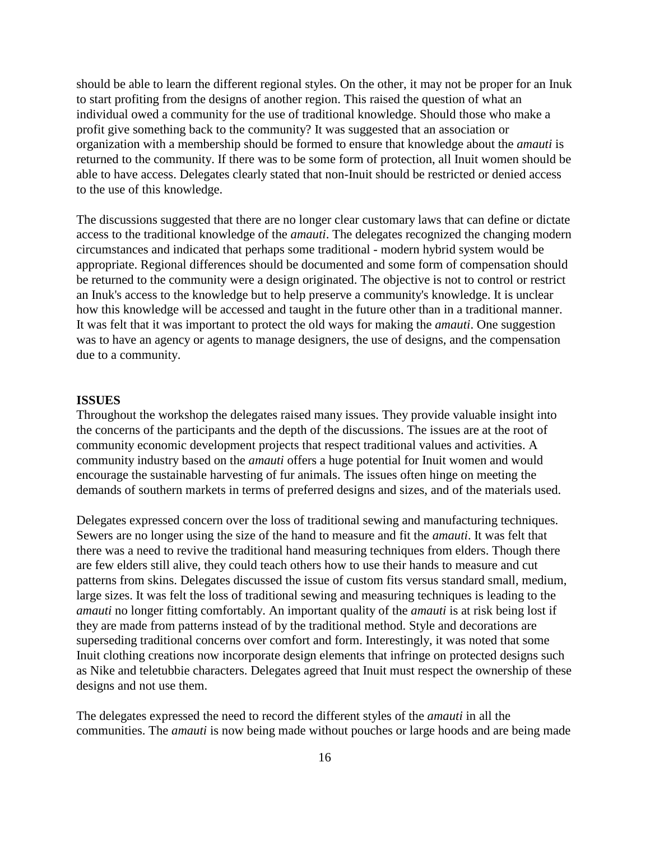should be able to learn the different regional styles. On the other, it may not be proper for an Inuk to start profiting from the designs of another region. This raised the question of what an individual owed a community for the use of traditional knowledge. Should those who make a profit give something back to the community? It was suggested that an association or organization with a membership should be formed to ensure that knowledge about the *amauti* is returned to the community. If there was to be some form of protection, all Inuit women should be able to have access. Delegates clearly stated that non-Inuit should be restricted or denied access to the use of this knowledge.

The discussions suggested that there are no longer clear customary laws that can define or dictate access to the traditional knowledge of the *amauti*. The delegates recognized the changing modern circumstances and indicated that perhaps some traditional - modern hybrid system would be appropriate. Regional differences should be documented and some form of compensation should be returned to the community were a design originated. The objective is not to control or restrict an Inuk's access to the knowledge but to help preserve a community's knowledge. It is unclear how this knowledge will be accessed and taught in the future other than in a traditional manner. It was felt that it was important to protect the old ways for making the *amauti*. One suggestion was to have an agency or agents to manage designers, the use of designs, and the compensation due to a community.

#### **ISSUES**

Throughout the workshop the delegates raised many issues. They provide valuable insight into the concerns of the participants and the depth of the discussions. The issues are at the root of community economic development projects that respect traditional values and activities. A community industry based on the *amauti* offers a huge potential for Inuit women and would encourage the sustainable harvesting of fur animals. The issues often hinge on meeting the demands of southern markets in terms of preferred designs and sizes, and of the materials used.

Delegates expressed concern over the loss of traditional sewing and manufacturing techniques. Sewers are no longer using the size of the hand to measure and fit the *amauti*. It was felt that there was a need to revive the traditional hand measuring techniques from elders. Though there are few elders still alive, they could teach others how to use their hands to measure and cut patterns from skins. Delegates discussed the issue of custom fits versus standard small, medium, large sizes. It was felt the loss of traditional sewing and measuring techniques is leading to the *amauti* no longer fitting comfortably. An important quality of the *amauti* is at risk being lost if they are made from patterns instead of by the traditional method. Style and decorations are superseding traditional concerns over comfort and form. Interestingly, it was noted that some Inuit clothing creations now incorporate design elements that infringe on protected designs such as Nike and teletubbie characters. Delegates agreed that Inuit must respect the ownership of these designs and not use them.

The delegates expressed the need to record the different styles of the *amauti* in all the communities. The *amauti* is now being made without pouches or large hoods and are being made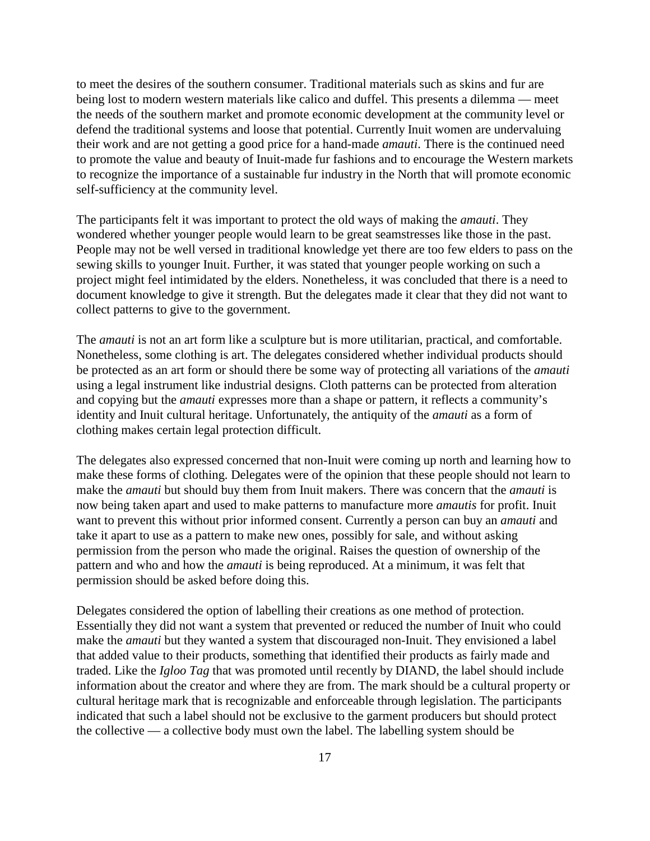to meet the desires of the southern consumer. Traditional materials such as skins and fur are being lost to modern western materials like calico and duffel. This presents a dilemma — meet the needs of the southern market and promote economic development at the community level or defend the traditional systems and loose that potential. Currently Inuit women are undervaluing their work and are not getting a good price for a hand-made *amauti*. There is the continued need to promote the value and beauty of Inuit-made fur fashions and to encourage the Western markets to recognize the importance of a sustainable fur industry in the North that will promote economic self-sufficiency at the community level.

The participants felt it was important to protect the old ways of making the *amauti*. They wondered whether younger people would learn to be great seamstresses like those in the past. People may not be well versed in traditional knowledge yet there are too few elders to pass on the sewing skills to younger Inuit. Further, it was stated that younger people working on such a project might feel intimidated by the elders. Nonetheless, it was concluded that there is a need to document knowledge to give it strength. But the delegates made it clear that they did not want to collect patterns to give to the government.

The *amauti* is not an art form like a sculpture but is more utilitarian, practical, and comfortable. Nonetheless, some clothing is art. The delegates considered whether individual products should be protected as an art form or should there be some way of protecting all variations of the *amauti* using a legal instrument like industrial designs. Cloth patterns can be protected from alteration and copying but the *amauti* expresses more than a shape or pattern, it reflects a community's identity and Inuit cultural heritage. Unfortunately, the antiquity of the *amauti* as a form of clothing makes certain legal protection difficult.

The delegates also expressed concerned that non-Inuit were coming up north and learning how to make these forms of clothing. Delegates were of the opinion that these people should not learn to make the *amauti* but should buy them from Inuit makers. There was concern that the *amauti* is now being taken apart and used to make patterns to manufacture more *amautis* for profit. Inuit want to prevent this without prior informed consent. Currently a person can buy an *amauti* and take it apart to use as a pattern to make new ones, possibly for sale, and without asking permission from the person who made the original. Raises the question of ownership of the pattern and who and how the *amauti* is being reproduced. At a minimum, it was felt that permission should be asked before doing this.

Delegates considered the option of labelling their creations as one method of protection. Essentially they did not want a system that prevented or reduced the number of Inuit who could make the *amauti* but they wanted a system that discouraged non-Inuit. They envisioned a label that added value to their products, something that identified their products as fairly made and traded. Like the *Igloo Tag* that was promoted until recently by DIAND, the label should include information about the creator and where they are from. The mark should be a cultural property or cultural heritage mark that is recognizable and enforceable through legislation. The participants indicated that such a label should not be exclusive to the garment producers but should protect the collective — a collective body must own the label. The labelling system should be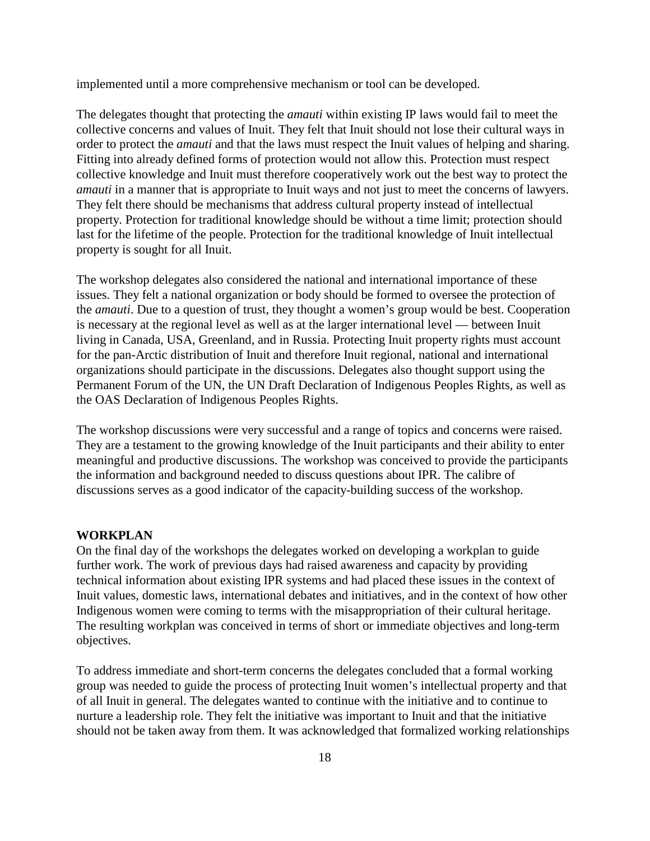implemented until a more comprehensive mechanism or tool can be developed.

The delegates thought that protecting the *amauti* within existing IP laws would fail to meet the collective concerns and values of Inuit. They felt that Inuit should not lose their cultural ways in order to protect the *amauti* and that the laws must respect the Inuit values of helping and sharing. Fitting into already defined forms of protection would not allow this. Protection must respect collective knowledge and Inuit must therefore cooperatively work out the best way to protect the *amauti* in a manner that is appropriate to Inuit ways and not just to meet the concerns of lawyers. They felt there should be mechanisms that address cultural property instead of intellectual property. Protection for traditional knowledge should be without a time limit; protection should last for the lifetime of the people. Protection for the traditional knowledge of Inuit intellectual property is sought for all Inuit.

The workshop delegates also considered the national and international importance of these issues. They felt a national organization or body should be formed to oversee the protection of the *amauti*. Due to a question of trust, they thought a women's group would be best. Cooperation is necessary at the regional level as well as at the larger international level — between Inuit living in Canada, USA, Greenland, and in Russia. Protecting Inuit property rights must account for the pan-Arctic distribution of Inuit and therefore Inuit regional, national and international organizations should participate in the discussions. Delegates also thought support using the Permanent Forum of the UN, the UN Draft Declaration of Indigenous Peoples Rights, as well as the OAS Declaration of Indigenous Peoples Rights.

The workshop discussions were very successful and a range of topics and concerns were raised. They are a testament to the growing knowledge of the Inuit participants and their ability to enter meaningful and productive discussions. The workshop was conceived to provide the participants the information and background needed to discuss questions about IPR. The calibre of discussions serves as a good indicator of the capacity-building success of the workshop.

#### **WORKPLAN**

On the final day of the workshops the delegates worked on developing a workplan to guide further work. The work of previous days had raised awareness and capacity by providing technical information about existing IPR systems and had placed these issues in the context of Inuit values, domestic laws, international debates and initiatives, and in the context of how other Indigenous women were coming to terms with the misappropriation of their cultural heritage. The resulting workplan was conceived in terms of short or immediate objectives and long-term objectives.

To address immediate and short-term concerns the delegates concluded that a formal working group was needed to guide the process of protecting Inuit women's intellectual property and that of all Inuit in general. The delegates wanted to continue with the initiative and to continue to nurture a leadership role. They felt the initiative was important to Inuit and that the initiative should not be taken away from them. It was acknowledged that formalized working relationships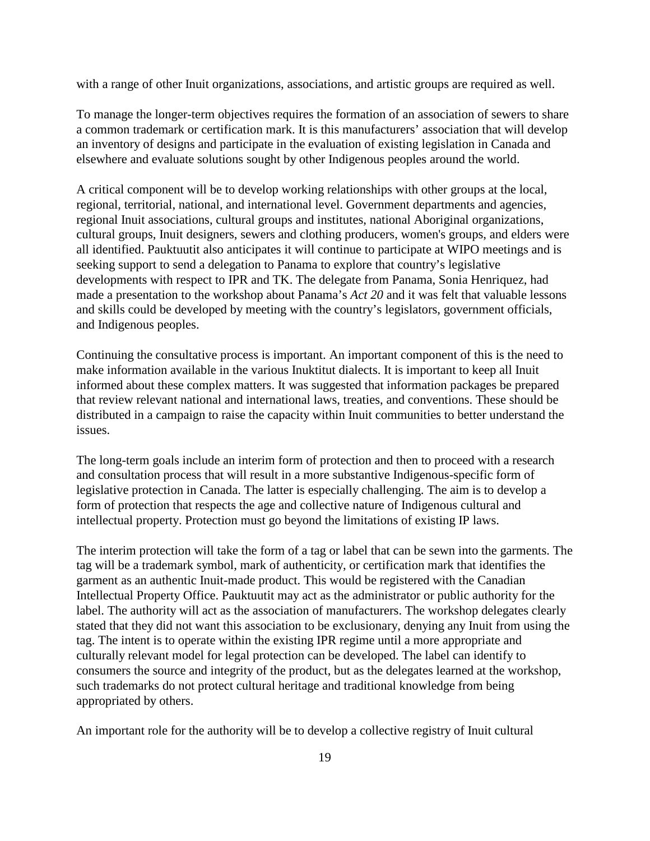with a range of other Inuit organizations, associations, and artistic groups are required as well.

To manage the longer-term objectives requires the formation of an association of sewers to share a common trademark or certification mark. It is this manufacturers' association that will develop an inventory of designs and participate in the evaluation of existing legislation in Canada and elsewhere and evaluate solutions sought by other Indigenous peoples around the world.

A critical component will be to develop working relationships with other groups at the local, regional, territorial, national, and international level. Government departments and agencies, regional Inuit associations, cultural groups and institutes, national Aboriginal organizations, cultural groups, Inuit designers, sewers and clothing producers, women's groups, and elders were all identified. Pauktuutit also anticipates it will continue to participate at WIPO meetings and is seeking support to send a delegation to Panama to explore that country's legislative developments with respect to IPR and TK. The delegate from Panama, Sonia Henriquez, had made a presentation to the workshop about Panama's *Act 20* and it was felt that valuable lessons and skills could be developed by meeting with the country's legislators, government officials, and Indigenous peoples.

Continuing the consultative process is important. An important component of this is the need to make information available in the various Inuktitut dialects. It is important to keep all Inuit informed about these complex matters. It was suggested that information packages be prepared that review relevant national and international laws, treaties, and conventions. These should be distributed in a campaign to raise the capacity within Inuit communities to better understand the issues.

The long-term goals include an interim form of protection and then to proceed with a research and consultation process that will result in a more substantive Indigenous-specific form of legislative protection in Canada. The latter is especially challenging. The aim is to develop a form of protection that respects the age and collective nature of Indigenous cultural and intellectual property. Protection must go beyond the limitations of existing IP laws.

The interim protection will take the form of a tag or label that can be sewn into the garments. The tag will be a trademark symbol, mark of authenticity, or certification mark that identifies the garment as an authentic Inuit-made product. This would be registered with the Canadian Intellectual Property Office. Pauktuutit may act as the administrator or public authority for the label. The authority will act as the association of manufacturers. The workshop delegates clearly stated that they did not want this association to be exclusionary, denying any Inuit from using the tag. The intent is to operate within the existing IPR regime until a more appropriate and culturally relevant model for legal protection can be developed. The label can identify to consumers the source and integrity of the product, but as the delegates learned at the workshop, such trademarks do not protect cultural heritage and traditional knowledge from being appropriated by others.

An important role for the authority will be to develop a collective registry of Inuit cultural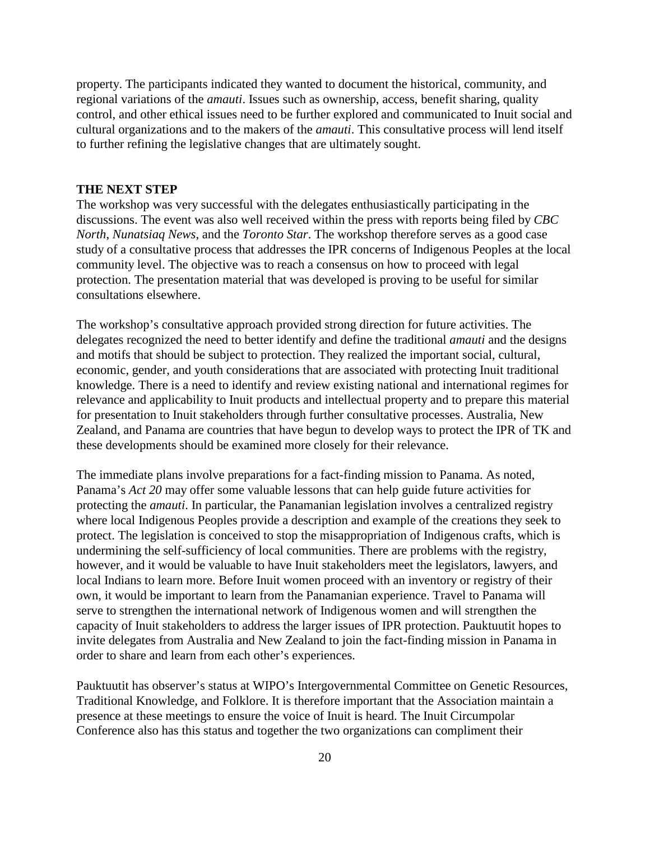property. The participants indicated they wanted to document the historical, community, and regional variations of the *amauti*. Issues such as ownership, access, benefit sharing, quality control, and other ethical issues need to be further explored and communicated to Inuit social and cultural organizations and to the makers of the *amauti*. This consultative process will lend itself to further refining the legislative changes that are ultimately sought.

#### **THE NEXT STEP**

The workshop was very successful with the delegates enthusiastically participating in the discussions. The event was also well received within the press with reports being filed by *CBC North*, *Nunatsiaq News*, and the *Toronto Star*. The workshop therefore serves as a good case study of a consultative process that addresses the IPR concerns of Indigenous Peoples at the local community level. The objective was to reach a consensus on how to proceed with legal protection. The presentation material that was developed is proving to be useful for similar consultations elsewhere.

The workshop's consultative approach provided strong direction for future activities. The delegates recognized the need to better identify and define the traditional *amauti* and the designs and motifs that should be subject to protection. They realized the important social, cultural, economic, gender, and youth considerations that are associated with protecting Inuit traditional knowledge. There is a need to identify and review existing national and international regimes for relevance and applicability to Inuit products and intellectual property and to prepare this material for presentation to Inuit stakeholders through further consultative processes. Australia, New Zealand, and Panama are countries that have begun to develop ways to protect the IPR of TK and these developments should be examined more closely for their relevance.

The immediate plans involve preparations for a fact-finding mission to Panama. As noted, Panama's *Act 20* may offer some valuable lessons that can help guide future activities for protecting the *amauti*. In particular, the Panamanian legislation involves a centralized registry where local Indigenous Peoples provide a description and example of the creations they seek to protect. The legislation is conceived to stop the misappropriation of Indigenous crafts, which is undermining the self-sufficiency of local communities. There are problems with the registry, however, and it would be valuable to have Inuit stakeholders meet the legislators, lawyers, and local Indians to learn more. Before Inuit women proceed with an inventory or registry of their own, it would be important to learn from the Panamanian experience. Travel to Panama will serve to strengthen the international network of Indigenous women and will strengthen the capacity of Inuit stakeholders to address the larger issues of IPR protection. Pauktuutit hopes to invite delegates from Australia and New Zealand to join the fact-finding mission in Panama in order to share and learn from each other's experiences.

Pauktuutit has observer's status at WIPO's Intergovernmental Committee on Genetic Resources, Traditional Knowledge, and Folklore. It is therefore important that the Association maintain a presence at these meetings to ensure the voice of Inuit is heard. The Inuit Circumpolar Conference also has this status and together the two organizations can compliment their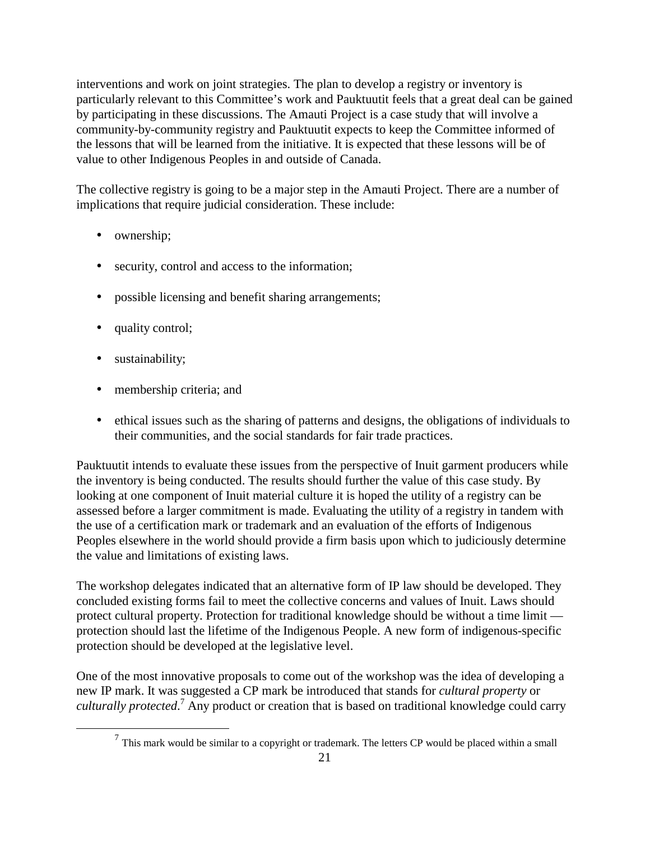interventions and work on joint strategies. The plan to develop a registry or inventory is particularly relevant to this Committee's work and Pauktuutit feels that a great deal can be gained by participating in these discussions. The Amauti Project is a case study that will involve a community-by-community registry and Pauktuutit expects to keep the Committee informed of the lessons that will be learned from the initiative. It is expected that these lessons will be of value to other Indigenous Peoples in and outside of Canada.

The collective registry is going to be a major step in the Amauti Project. There are a number of implications that require judicial consideration. These include:

- ownership;
- security, control and access to the information;
- possible licensing and benefit sharing arrangements;
- quality control;
- sustainability;
- membership criteria; and
- ethical issues such as the sharing of patterns and designs, the obligations of individuals to their communities, and the social standards for fair trade practices.

Pauktuutit intends to evaluate these issues from the perspective of Inuit garment producers while the inventory is being conducted. The results should further the value of this case study. By looking at one component of Inuit material culture it is hoped the utility of a registry can be assessed before a larger commitment is made. Evaluating the utility of a registry in tandem with the use of a certification mark or trademark and an evaluation of the efforts of Indigenous Peoples elsewhere in the world should provide a firm basis upon which to judiciously determine the value and limitations of existing laws.

The workshop delegates indicated that an alternative form of IP law should be developed. They concluded existing forms fail to meet the collective concerns and values of Inuit. Laws should protect cultural property. Protection for traditional knowledge should be without a time limit protection should last the lifetime of the Indigenous People. A new form of indigenous-specific protection should be developed at the legislative level.

One of the most innovative proposals to come out of the workshop was the idea of developing a new IP mark. It was suggested a CP mark be introduced that stands for *cultural property* or culturally protected.<sup>7</sup> Any product or creation that is based on traditional knowledge could carry

 $<sup>7</sup>$  This mark would be similar to a copyright or trademark. The letters CP would be placed within a small</sup>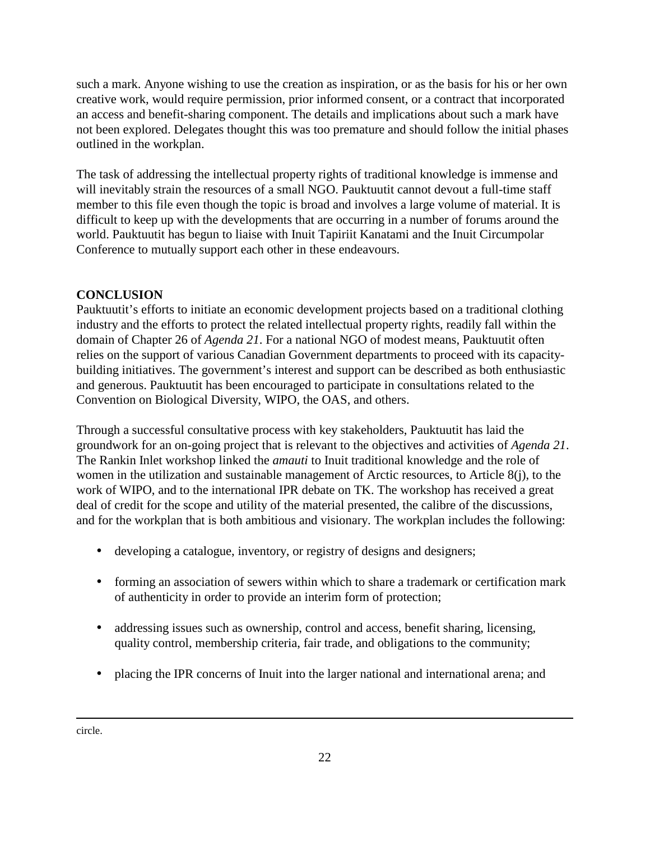such a mark. Anyone wishing to use the creation as inspiration, or as the basis for his or her own creative work, would require permission, prior informed consent, or a contract that incorporated an access and benefit-sharing component. The details and implications about such a mark have not been explored. Delegates thought this was too premature and should follow the initial phases outlined in the workplan.

The task of addressing the intellectual property rights of traditional knowledge is immense and will inevitably strain the resources of a small NGO. Pauktuutit cannot devout a full-time staff member to this file even though the topic is broad and involves a large volume of material. It is difficult to keep up with the developments that are occurring in a number of forums around the world. Pauktuutit has begun to liaise with Inuit Tapiriit Kanatami and the Inuit Circumpolar Conference to mutually support each other in these endeavours.

# **CONCLUSION**

Pauktuutit's efforts to initiate an economic development projects based on a traditional clothing industry and the efforts to protect the related intellectual property rights, readily fall within the domain of Chapter 26 of *Agenda 21*. For a national NGO of modest means, Pauktuutit often relies on the support of various Canadian Government departments to proceed with its capacitybuilding initiatives. The government's interest and support can be described as both enthusiastic and generous. Pauktuutit has been encouraged to participate in consultations related to the Convention on Biological Diversity, WIPO, the OAS, and others.

Through a successful consultative process with key stakeholders, Pauktuutit has laid the groundwork for an on-going project that is relevant to the objectives and activities of *Agenda 21*. The Rankin Inlet workshop linked the *amauti* to Inuit traditional knowledge and the role of women in the utilization and sustainable management of Arctic resources, to Article 8(j), to the work of WIPO, and to the international IPR debate on TK. The workshop has received a great deal of credit for the scope and utility of the material presented, the calibre of the discussions, and for the workplan that is both ambitious and visionary. The workplan includes the following:

- developing a catalogue, inventory, or registry of designs and designers;
- forming an association of sewers within which to share a trademark or certification mark of authenticity in order to provide an interim form of protection;
- addressing issues such as ownership, control and access, benefit sharing, licensing, quality control, membership criteria, fair trade, and obligations to the community;
- placing the IPR concerns of Inuit into the larger national and international arena; and

circle.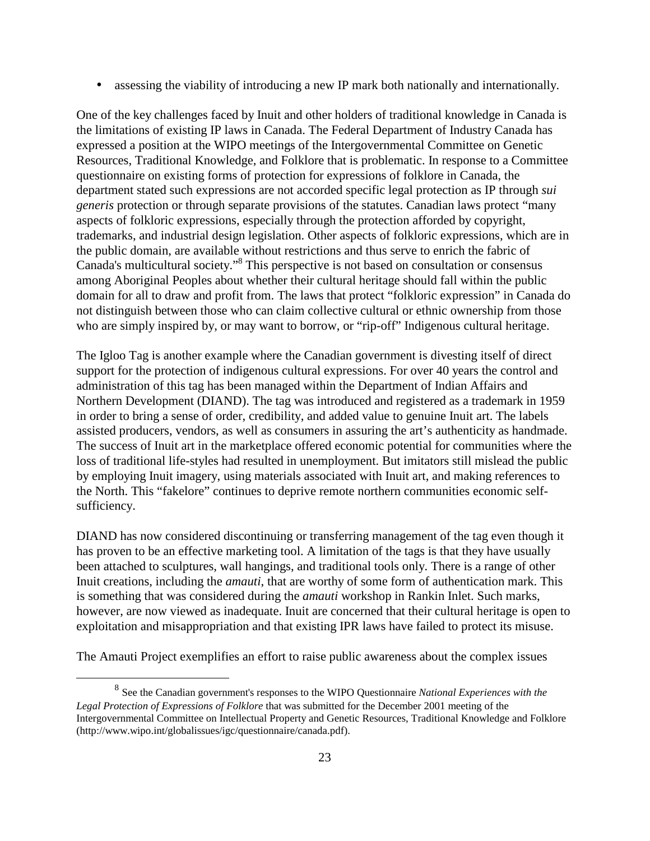• assessing the viability of introducing a new IP mark both nationally and internationally.

One of the key challenges faced by Inuit and other holders of traditional knowledge in Canada is the limitations of existing IP laws in Canada. The Federal Department of Industry Canada has expressed a position at the WIPO meetings of the Intergovernmental Committee on Genetic Resources, Traditional Knowledge, and Folklore that is problematic. In response to a Committee questionnaire on existing forms of protection for expressions of folklore in Canada, the department stated such expressions are not accorded specific legal protection as IP through *sui generis* protection or through separate provisions of the statutes. Canadian laws protect "many aspects of folkloric expressions, especially through the protection afforded by copyright, trademarks, and industrial design legislation. Other aspects of folkloric expressions, which are in the public domain, are available without restrictions and thus serve to enrich the fabric of Canada's multicultural society."<sup>8</sup> This perspective is not based on consultation or consensus among Aboriginal Peoples about whether their cultural heritage should fall within the public domain for all to draw and profit from. The laws that protect "folkloric expression" in Canada do not distinguish between those who can claim collective cultural or ethnic ownership from those who are simply inspired by, or may want to borrow, or "rip-off" Indigenous cultural heritage.

The Igloo Tag is another example where the Canadian government is divesting itself of direct support for the protection of indigenous cultural expressions. For over 40 years the control and administration of this tag has been managed within the Department of Indian Affairs and Northern Development (DIAND). The tag was introduced and registered as a trademark in 1959 in order to bring a sense of order, credibility, and added value to genuine Inuit art. The labels assisted producers, vendors, as well as consumers in assuring the art's authenticity as handmade. The success of Inuit art in the marketplace offered economic potential for communities where the loss of traditional life-styles had resulted in unemployment. But imitators still mislead the public by employing Inuit imagery, using materials associated with Inuit art, and making references to the North. This "fakelore" continues to deprive remote northern communities economic selfsufficiency.

DIAND has now considered discontinuing or transferring management of the tag even though it has proven to be an effective marketing tool. A limitation of the tags is that they have usually been attached to sculptures, wall hangings, and traditional tools only. There is a range of other Inuit creations, including the *amauti*, that are worthy of some form of authentication mark. This is something that was considered during the *amauti* workshop in Rankin Inlet. Such marks, however, are now viewed as inadequate. Inuit are concerned that their cultural heritage is open to exploitation and misappropriation and that existing IPR laws have failed to protect its misuse.

The Amauti Project exemplifies an effort to raise public awareness about the complex issues

<sup>8</sup> See the Canadian government's responses to the WIPO Questionnaire *National Experiences with the Legal Protection of Expressions of Folklore* that was submitted for the December 2001 meeting of the Intergovernmental Committee on Intellectual Property and Genetic Resources, Traditional Knowledge and Folklore (http://www.wipo.int/globalissues/igc/questionnaire/canada.pdf).